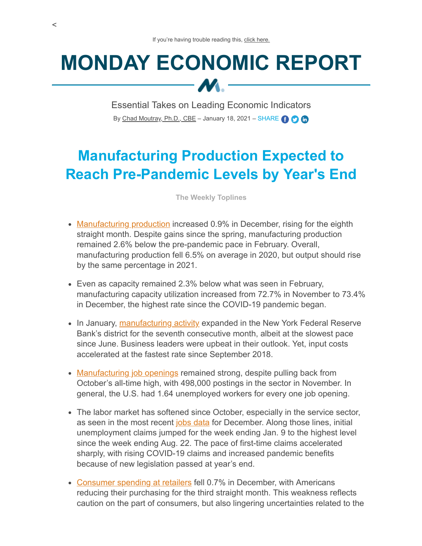## **MONDAY ECONOMIC REPORT**  $M -$

Essential Takes on Leading Economic Indicators By [Chad Moutray, Ph.D., CBE](mailto:cmoutray@nam.org) – January 18, 2021 – SHARE  $\bigodot$   $\bigodot$ 

## **Manufacturing Production Expected to Reach Pre-Pandemic Levels by Year's End**

**The Weekly Toplines**

- [Manufacturing production](https://www.federalreserve.gov/releases/g17/Current/g17.pdf) increased 0.9% in December, rising for the eighth straight month. Despite gains since the spring, manufacturing production remained 2.6% below the pre-pandemic pace in February. Overall, manufacturing production fell 6.5% on average in 2020, but output should rise by the same percentage in 2021.
- Even as capacity remained 2.3% below what was seen in February, manufacturing capacity utilization increased from 72.7% in November to 73.4% in December, the highest rate since the COVID-19 pandemic began.
- In January, [manufacturing activity](https://www.newyorkfed.org/medialibrary/media/survey/empire/empire2021/esms_2021_01.pdf?la=en) expanded in the New York Federal Reserve Bank's district for the seventh consecutive month, albeit at the slowest pace since June. Business leaders were upbeat in their outlook. Yet, input costs accelerated at the fastest rate since September 2018.
- [Manufacturing job openings](https://www.bls.gov/news.release/pdf/jolts.pdf) remained strong, despite pulling back from October's all-time high, with 498,000 postings in the sector in November. In general, the U.S. had 1.64 unemployed workers for every one job opening.
- The labor market has softened since October, especially in the service sector, as seen in the most recent [jobs data](https://www.bls.gov/news.release/pdf/empsit.pdf) for December. Along those lines, initial unemployment claims jumped for the week ending Jan. 9 to the highest level since the week ending Aug. 22. The pace of first-time claims accelerated sharply, with rising COVID-19 claims and increased pandemic benefits because of new legislation passed at year's end.
- [Consumer spending at retailers](https://www.census.gov/retail/marts/www/marts_current.pdf) fell 0.7% in December, with Americans reducing their purchasing for the third straight month. This weakness reflects caution on the part of consumers, but also lingering uncertainties related to the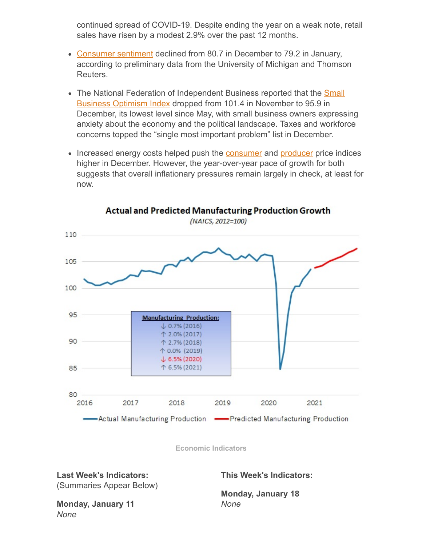continued spread of COVID-19. Despite ending the year on a weak note, retail sales have risen by a modest 2.9% over the past 12 months.

- [Consumer sentiment](http://www.sca.isr.umich.edu/) declined from 80.7 in December to 79.2 in January, according to preliminary data from the University of Michigan and Thomson Reuters.
- The National Federation of Independent Business reported that the **Small** Business Optimism Index dropped from 101.4 in November to 95.9 in December, its lowest level since May, with small business owners expressing anxiety about the economy and the political landscape. Taxes and workforce concerns topped the "single most important problem" list in December.
- Increased energy costs helped push the **[consumer](https://www.bls.gov/news.release/pdf/cpi.pdf)** and **[producer](https://www.bls.gov/news.release/pdf/ppi.pdf)** price indices higher in December. However, the year-over-year pace of growth for both suggests that overall inflationary pressures remain largely in check, at least for now.



**Actual and Predicted Manufacturing Production Growth** 

**Economic Indicators**

## **Last Week's Indicators:** (Summaries Appear Below)

**This Week's Indicators:**

**Monday, January 18** *None*

**Monday, January 11** *None*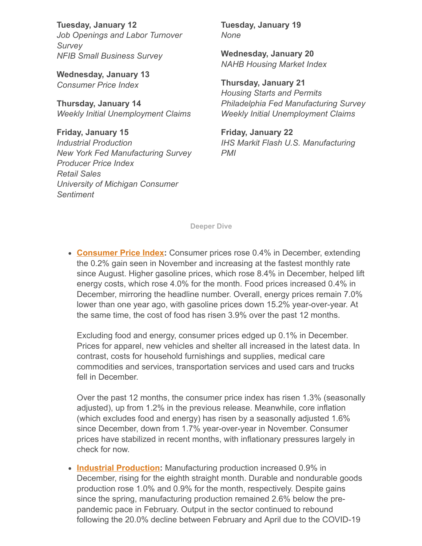**Tuesday, January 12** *Job Openings and Labor Turnover Survey NFIB Small Business Survey*

**Wednesday, January 13** *Consumer Price Index*

**Thursday, January 14** *Weekly Initial Unemployment Claims*

**Friday, January 15** *Industrial Production New York Fed Manufacturing Survey Producer Price Index Retail Sales University of Michigan Consumer Sentiment*

**Tuesday, January 19** *None*

**Wednesday, January 20** *NAHB Housing Market Index*

**Thursday, January 21** *Housing Starts and Permits Philadelphia Fed Manufacturing Survey Weekly Initial Unemployment Claims*

**Friday, January 22** *IHS Markit Flash U.S. Manufacturing PMI*

**Deeper Dive**

**[Consumer Price Index](https://www.bls.gov/news.release/pdf/cpi.pdf):** Consumer prices rose 0.4% in December, extending the 0.2% gain seen in November and increasing at the fastest monthly rate since August. Higher gasoline prices, which rose 8.4% in December, helped lift energy costs, which rose 4.0% for the month. Food prices increased 0.4% in December, mirroring the headline number. Overall, energy prices remain 7.0% lower than one year ago, with gasoline prices down 15.2% year-over-year. At the same time, the cost of food has risen 3.9% over the past 12 months.

Excluding food and energy, consumer prices edged up 0.1% in December. Prices for apparel, new vehicles and shelter all increased in the latest data. In contrast, costs for household furnishings and supplies, medical care commodities and services, transportation services and used cars and trucks fell in December.

Over the past 12 months, the consumer price index has risen 1.3% (seasonally adjusted), up from 1.2% in the previous release. Meanwhile, core inflation (which excludes food and energy) has risen by a seasonally adjusted 1.6% since December, down from 1.7% year-over-year in November. Consumer prices have stabilized in recent months, with inflationary pressures largely in check for now.

• **[Industrial Production](https://www.federalreserve.gov/releases/g17/Current/g17.pdf):** Manufacturing production increased 0.9% in December, rising for the eighth straight month. Durable and nondurable goods production rose 1.0% and 0.9% for the month, respectively. Despite gains since the spring, manufacturing production remained 2.6% below the prepandemic pace in February. Output in the sector continued to rebound following the 20.0% decline between February and April due to the COVID-19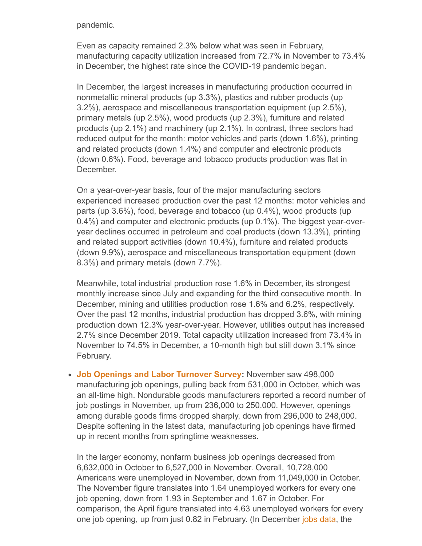pandemic.

Even as capacity remained 2.3% below what was seen in February, manufacturing capacity utilization increased from 72.7% in November to 73.4% in December, the highest rate since the COVID-19 pandemic began.

In December, the largest increases in manufacturing production occurred in nonmetallic mineral products (up 3.3%), plastics and rubber products (up 3.2%), aerospace and miscellaneous transportation equipment (up 2.5%), primary metals (up 2.5%), wood products (up 2.3%), furniture and related products (up 2.1%) and machinery (up 2.1%). In contrast, three sectors had reduced output for the month: motor vehicles and parts (down 1.6%), printing and related products (down 1.4%) and computer and electronic products (down 0.6%). Food, beverage and tobacco products production was flat in December.

On a year-over-year basis, four of the major manufacturing sectors experienced increased production over the past 12 months: motor vehicles and parts (up 3.6%), food, beverage and tobacco (up 0.4%), wood products (up 0.4%) and computer and electronic products (up 0.1%). The biggest year-overyear declines occurred in petroleum and coal products (down 13.3%), printing and related support activities (down 10.4%), furniture and related products (down 9.9%), aerospace and miscellaneous transportation equipment (down 8.3%) and primary metals (down 7.7%).

Meanwhile, total industrial production rose 1.6% in December, its strongest monthly increase since July and expanding for the third consecutive month. In December, mining and utilities production rose 1.6% and 6.2%, respectively. Over the past 12 months, industrial production has dropped 3.6%, with mining production down 12.3% year-over-year. However, utilities output has increased 2.7% since December 2019. Total capacity utilization increased from 73.4% in November to 74.5% in December, a 10-month high but still down 3.1% since February.

**[Job Openings and Labor Turnover Survey:](https://www.bls.gov/news.release/pdf/jolts.pdf)** November saw 498,000 manufacturing job openings, pulling back from 531,000 in October, which was an all-time high. Nondurable goods manufacturers reported a record number of job postings in November, up from 236,000 to 250,000. However, openings among durable goods firms dropped sharply, down from 296,000 to 248,000. Despite softening in the latest data, manufacturing job openings have firmed up in recent months from springtime weaknesses.

In the larger economy, nonfarm business job openings decreased from 6,632,000 in October to 6,527,000 in November. Overall, 10,728,000 Americans were unemployed in November, down from 11,049,000 in October. The November figure translates into 1.64 unemployed workers for every one job opening, down from 1.93 in September and 1.67 in October. For comparison, the April figure translated into 4.63 unemployed workers for every one job opening, up from just 0.82 in February. (In December [jobs data](https://www.bls.gov/news.release/pdf/empsit.pdf), the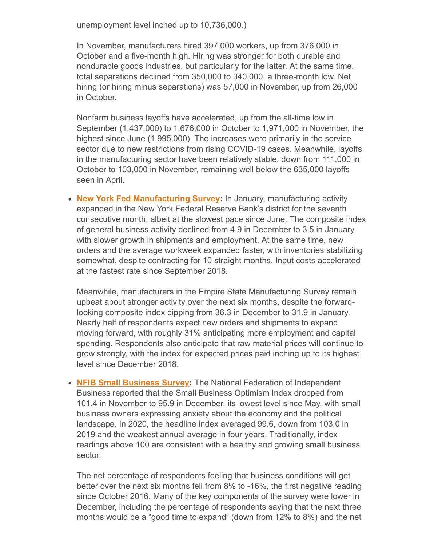unemployment level inched up to 10,736,000.)

In November, manufacturers hired 397,000 workers, up from 376,000 in October and a five-month high. Hiring was stronger for both durable and nondurable goods industries, but particularly for the latter. At the same time, total separations declined from 350,000 to 340,000, a three-month low. Net hiring (or hiring minus separations) was 57,000 in November, up from 26,000 in October.

Nonfarm business layoffs have accelerated, up from the all-time low in September (1,437,000) to 1,676,000 in October to 1,971,000 in November, the highest since June (1,995,000). The increases were primarily in the service sector due to new restrictions from rising COVID-19 cases. Meanwhile, layoffs in the manufacturing sector have been relatively stable, down from 111,000 in October to 103,000 in November, remaining well below the 635,000 layoffs seen in April.

**[New York Fed Manufacturing Survey](https://www.newyorkfed.org/medialibrary/media/survey/empire/empire2021/esms_2021_01.pdf?la=en):** In January, manufacturing activity expanded in the New York Federal Reserve Bank's district for the seventh consecutive month, albeit at the slowest pace since June. The composite index of general business activity declined from 4.9 in December to 3.5 in January, with slower growth in shipments and employment. At the same time, new orders and the average workweek expanded faster, with inventories stabilizing somewhat, despite contracting for 10 straight months. Input costs accelerated at the fastest rate since September 2018.

Meanwhile, manufacturers in the Empire State Manufacturing Survey remain upbeat about stronger activity over the next six months, despite the forwardlooking composite index dipping from 36.3 in December to 31.9 in January. Nearly half of respondents expect new orders and shipments to expand moving forward, with roughly 31% anticipating more employment and capital spending. Respondents also anticipate that raw material prices will continue to grow strongly, with the index for expected prices paid inching up to its highest level since December 2018.

**• [NFIB Small Business Survey:](https://assets.nfib.com/nfibcom/SBET-Dec-2020.pdf)** The National Federation of Independent Business reported that the Small Business Optimism Index dropped from 101.4 in November to 95.9 in December, its lowest level since May, with small business owners expressing anxiety about the economy and the political landscape. In 2020, the headline index averaged 99.6, down from 103.0 in 2019 and the weakest annual average in four years. Traditionally, index readings above 100 are consistent with a healthy and growing small business sector.

The net percentage of respondents feeling that business conditions will get better over the next six months fell from 8% to -16%, the first negative reading since October 2016. Many of the key components of the survey were lower in December, including the percentage of respondents saying that the next three months would be a "good time to expand" (down from 12% to 8%) and the net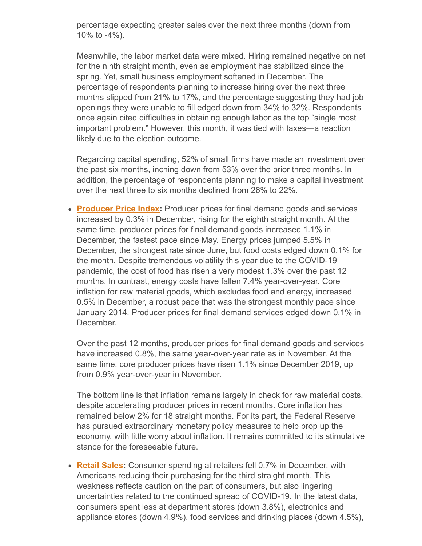percentage expecting greater sales over the next three months (down from 10% to -4%).

Meanwhile, the labor market data were mixed. Hiring remained negative on net for the ninth straight month, even as employment has stabilized since the spring. Yet, small business employment softened in December. The percentage of respondents planning to increase hiring over the next three months slipped from 21% to 17%, and the percentage suggesting they had job openings they were unable to fill edged down from 34% to 32%. Respondents once again cited difficulties in obtaining enough labor as the top "single most important problem." However, this month, it was tied with taxes—a reaction likely due to the election outcome.

Regarding capital spending, 52% of small firms have made an investment over the past six months, inching down from 53% over the prior three months. In addition, the percentage of respondents planning to make a capital investment over the next three to six months declined from 26% to 22%.

**[Producer Price Index:](https://www.bls.gov/news.release/pdf/ppi.pdf)** Producer prices for final demand goods and services increased by 0.3% in December, rising for the eighth straight month. At the same time, producer prices for final demand goods increased 1.1% in December, the fastest pace since May. Energy prices jumped 5.5% in December, the strongest rate since June, but food costs edged down 0.1% for the month. Despite tremendous volatility this year due to the COVID-19 pandemic, the cost of food has risen a very modest 1.3% over the past 12 months. In contrast, energy costs have fallen 7.4% year-over-year. Core inflation for raw material goods, which excludes food and energy, increased 0.5% in December, a robust pace that was the strongest monthly pace since January 2014. Producer prices for final demand services edged down 0.1% in December.

Over the past 12 months, producer prices for final demand goods and services have increased 0.8%, the same year-over-year rate as in November. At the same time, core producer prices have risen 1.1% since December 2019, up from 0.9% year-over-year in November.

The bottom line is that inflation remains largely in check for raw material costs, despite accelerating producer prices in recent months. Core inflation has remained below 2% for 18 straight months. For its part, the Federal Reserve has pursued extraordinary monetary policy measures to help prop up the economy, with little worry about inflation. It remains committed to its stimulative stance for the foreseeable future.

• **[Retail Sales:](https://www.census.gov/retail/marts/www/marts_current.pdf)** Consumer spending at retailers fell 0.7% in December, with Americans reducing their purchasing for the third straight month. This weakness reflects caution on the part of consumers, but also lingering uncertainties related to the continued spread of COVID-19. In the latest data, consumers spent less at department stores (down 3.8%), electronics and appliance stores (down 4.9%), food services and drinking places (down 4.5%),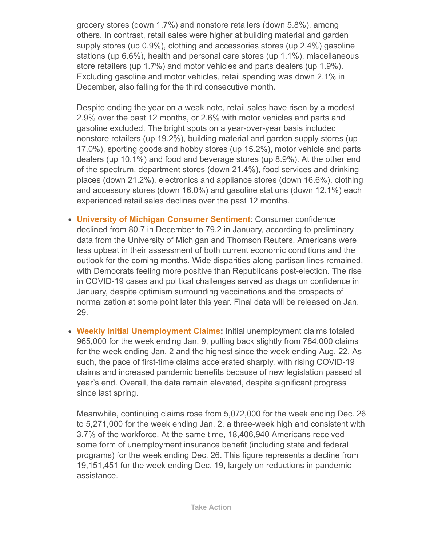grocery stores (down 1.7%) and nonstore retailers (down 5.8%), among others. In contrast, retail sales were higher at building material and garden supply stores (up 0.9%), clothing and accessories stores (up 2.4%) gasoline stations (up 6.6%), health and personal care stores (up 1.1%), miscellaneous store retailers (up 1.7%) and motor vehicles and parts dealers (up 1.9%). Excluding gasoline and motor vehicles, retail spending was down 2.1% in December, also falling for the third consecutive month.

Despite ending the year on a weak note, retail sales have risen by a modest 2.9% over the past 12 months, or 2.6% with motor vehicles and parts and gasoline excluded. The bright spots on a year-over-year basis included nonstore retailers (up 19.2%), building material and garden supply stores (up 17.0%), sporting goods and hobby stores (up 15.2%), motor vehicle and parts dealers (up 10.1%) and food and beverage stores (up 8.9%). At the other end of the spectrum, department stores (down 21.4%), food services and drinking places (down 21.2%), electronics and appliance stores (down 16.6%), clothing and accessory stores (down 16.0%) and gasoline stations (down 12.1%) each experienced retail sales declines over the past 12 months.

- **[University of Michigan Consumer Sentiment](http://www.sca.isr.umich.edu/)**: Consumer confidence declined from 80.7 in December to 79.2 in January, according to preliminary data from the University of Michigan and Thomson Reuters. Americans were less upbeat in their assessment of both current economic conditions and the outlook for the coming months. Wide disparities along partisan lines remained, with Democrats feeling more positive than Republicans post-election. The rise in COVID-19 cases and political challenges served as drags on confidence in January, despite optimism surrounding vaccinations and the prospects of normalization at some point later this year. Final data will be released on Jan. 29.
- **[Weekly Initial Unemployment Claims](https://www.dol.gov/ui/data.pdf):** Initial unemployment claims totaled 965,000 for the week ending Jan. 9, pulling back slightly from 784,000 claims for the week ending Jan. 2 and the highest since the week ending Aug. 22. As such, the pace of first-time claims accelerated sharply, with rising COVID-19 claims and increased pandemic benefits because of new legislation passed at year's end. Overall, the data remain elevated, despite significant progress since last spring.

Meanwhile, continuing claims rose from 5,072,000 for the week ending Dec. 26 to 5,271,000 for the week ending Jan. 2, a three-week high and consistent with 3.7% of the workforce. At the same time, 18,406,940 Americans received some form of unemployment insurance benefit (including state and federal programs) for the week ending Dec. 26. This figure represents a decline from 19,151,451 for the week ending Dec. 19, largely on reductions in pandemic assistance.